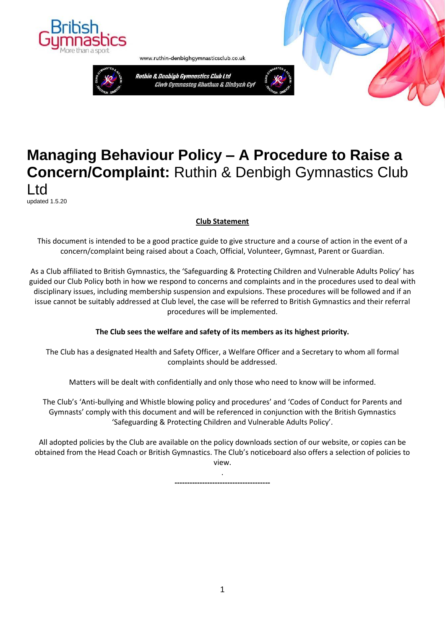



**Ruthin & Denbigh Gymnastics Club Ltd** Clwb Gymnasteg Rhuthun & Dinbych Cyl



# **Managing Behaviour Policy – A Procedure to Raise a Concern/Complaint:** Ruthin & Denbigh Gymnastics Club

Ltd updated 1.5.20

# **Club Statement**

This document is intended to be a good practice guide to give structure and a course of action in the event of a concern/complaint being raised about a Coach, Official, Volunteer, Gymnast, Parent or Guardian.

As a Club affiliated to British Gymnastics, the 'Safeguarding & Protecting Children and Vulnerable Adults Policy' has guided our Club Policy both in how we respond to concerns and complaints and in the procedures used to deal with disciplinary issues, including membership suspension and expulsions. These procedures will be followed and if an issue cannot be suitably addressed at Club level, the case will be referred to British Gymnastics and their referral procedures will be implemented.

# **The Club sees the welfare and safety of its members as its highest priority.**

The Club has a designated Health and Safety Officer, a Welfare Officer and a Secretary to whom all formal complaints should be addressed.

Matters will be dealt with confidentially and only those who need to know will be informed.

The Club's 'Anti-bullying and Whistle blowing policy and procedures' and 'Codes of Conduct for Parents and Gymnasts' comply with this document and will be referenced in conjunction with the British Gymnastics 'Safeguarding & Protecting Children and Vulnerable Adults Policy'.

All adopted policies by the Club are available on the policy downloads section of our website, or copies can be obtained from the Head Coach or British Gymnastics. The Club's noticeboard also offers a selection of policies to view.

> . **--------------------------------------**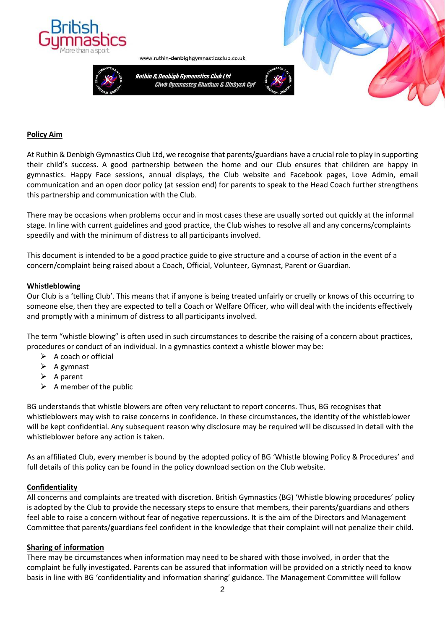





## **Policy Aim**

At Ruthin & Denbigh Gymnastics Club Ltd, we recognise that parents/guardians have a crucial role to play in supporting their child's success. A good partnership between the home and our Club ensures that children are happy in gymnastics. Happy Face sessions, annual displays, the Club website and Facebook pages, Love Admin, email communication and an open door policy (at session end) for parents to speak to the Head Coach further strengthens this partnership and communication with the Club.

There may be occasions when problems occur and in most cases these are usually sorted out quickly at the informal stage. In line with current guidelines and good practice, the Club wishes to resolve all and any concerns/complaints speedily and with the minimum of distress to all participants involved.

This document is intended to be a good practice guide to give structure and a course of action in the event of a concern/complaint being raised about a Coach, Official, Volunteer, Gymnast, Parent or Guardian.

#### **Whistleblowing**

Our Club is a 'telling Club'. This means that if anyone is being treated unfairly or cruelly or knows of this occurring to someone else, then they are expected to tell a Coach or Welfare Officer, who will deal with the incidents effectively and promptly with a minimum of distress to all participants involved.

The term "whistle blowing" is often used in such circumstances to describe the raising of a concern about practices, procedures or conduct of an individual. In a gymnastics context a whistle blower may be:

- $\triangleright$  A coach or official
- ➢ A gymnast
- ➢ A parent
- $\triangleright$  A member of the public

BG understands that whistle blowers are often very reluctant to report concerns. Thus, BG recognises that whistleblowers may wish to raise concerns in confidence. In these circumstances, the identity of the whistleblower will be kept confidential. Any subsequent reason why disclosure may be required will be discussed in detail with the whistleblower before any action is taken.

As an affiliated Club, every member is bound by the adopted policy of BG 'Whistle blowing Policy & Procedures' and full details of this policy can be found in the policy download section on the Club website.

#### **Confidentiality**

All concerns and complaints are treated with discretion. British Gymnastics (BG) 'Whistle blowing procedures' policy is adopted by the Club to provide the necessary steps to ensure that members, their parents/guardians and others feel able to raise a concern without fear of negative repercussions. It is the aim of the Directors and Management Committee that parents/guardians feel confident in the knowledge that their complaint will not penalize their child.

#### **Sharing of information**

There may be circumstances when information may need to be shared with those involved, in order that the complaint be fully investigated. Parents can be assured that information will be provided on a strictly need to know basis in line with BG 'confidentiality and information sharing' guidance. The Management Committee will follow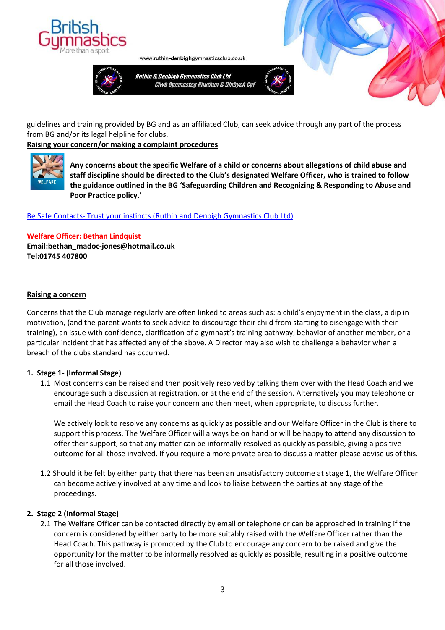



**Ruthin & Denbigh Gymnastics Club Ltd** Clwb Gymnasteg Rhuthun & Dinbych Cyl



guidelines and training provided by BG and as an affiliated Club, can seek advice through any part of the process from BG and/or its legal helpline for clubs.

**Raising your concern/or making a complaint procedures**



**Any concerns about the specific Welfare of a child or concerns about allegations of child abuse and staff discipline should be directed to the Club's designated Welfare Officer, who is trained to follow the guidance outlined in the BG 'Safeguarding Children and Recognizing & Responding to Abuse and Poor Practice policy.'**

## Be Safe Contacts- [Trust your instincts \(Ruthin and Denbigh Gymnastics Club Ltd\)](http://www.ruthin-denbighgymnasticsclub.co.uk/contact-welfare-officer/)

#### **Welfare Officer: Bethan Lindquist**

**Email:bethan\_madoc-jones@hotmail.co.uk [Tel:01745](tel:01745) 407800** 

#### **Raising a concern**

Concerns that the Club manage regularly are often linked to areas such as: a child's enjoyment in the class, a dip in motivation, (and the parent wants to seek advice to discourage their child from starting to disengage with their training), an issue with confidence, clarification of a gymnast's training pathway, behavior of another member, or a particular incident that has affected any of the above. A Director may also wish to challenge a behavior when a breach of the clubs standard has occurred.

#### **1. Stage 1- (Informal Stage)**

1.1 Most concerns can be raised and then positively resolved by talking them over with the Head Coach and we encourage such a discussion at registration, or at the end of the session. Alternatively you may telephone or email the Head Coach to raise your concern and then meet, when appropriate, to discuss further.

We actively look to resolve any concerns as quickly as possible and our Welfare Officer in the Club is there to support this process. The Welfare Officer will always be on hand or will be happy to attend any discussion to offer their support, so that any matter can be informally resolved as quickly as possible, giving a positive outcome for all those involved. If you require a more private area to discuss a matter please advise us of this.

1.2 Should it be felt by either party that there has been an unsatisfactory outcome at stage 1, the Welfare Officer can become actively involved at any time and look to liaise between the parties at any stage of the proceedings.

#### **2. Stage 2 (Informal Stage)**

2.1 The Welfare Officer can be contacted directly by email or telephone or can be approached in training if the concern is considered by either party to be more suitably raised with the Welfare Officer rather than the Head Coach. This pathway is promoted by the Club to encourage any concern to be raised and give the opportunity for the matter to be informally resolved as quickly as possible, resulting in a positive outcome for all those involved.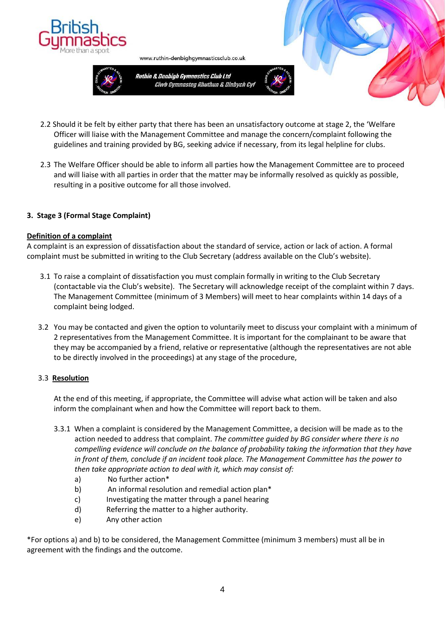



Ruthin & Denbigh Gymnastics Club Ltd Clwb Gymnasteg Rhuthun & Dinbych Cyl





2.3 The Welfare Officer should be able to inform all parties how the Management Committee are to proceed and will liaise with all parties in order that the matter may be informally resolved as quickly as possible, resulting in a positive outcome for all those involved.

## **3. Stage 3 (Formal Stage Complaint)**

#### **Definition of a complaint**

A complaint is an expression of dissatisfaction about the standard of service, action or lack of action. A formal complaint must be submitted in writing to the Club Secretary (address available on the Club's website).

- 3.1 To raise a complaint of dissatisfaction you must complain formally in writing to the Club Secretary (contactable via the Club's website). The Secretary will acknowledge receipt of the complaint within 7 days. The Management Committee (minimum of 3 Members) will meet to hear complaints within 14 days of a complaint being lodged.
- 3.2 You may be contacted and given the option to voluntarily meet to discuss your complaint with a minimum of 2 representatives from the Management Committee. It is important for the complainant to be aware that they may be accompanied by a friend, relative or representative (although the representatives are not able to be directly involved in the proceedings) at any stage of the procedure,

#### 3.3 **Resolution**

At the end of this meeting, if appropriate, the Committee will advise what action will be taken and also inform the complainant when and how the Committee will report back to them.

- 3.3.1 When a complaint is considered by the Management Committee, a decision will be made as to the action needed to address that complaint. *The committee guided by BG consider where there is no compelling evidence will conclude on the balance of probability taking the information that they have in front of them, conclude if an incident took place. The Management Committee has the power to then take appropriate action to deal with it, which may consist of:*
	- a) No further action\*
	- b) An informal resolution and remedial action plan\*
	- c) Investigating the matter through a panel hearing
	- d) Referring the matter to a higher authority.
	- e) Any other action

\*For options a) and b) to be considered, the Management Committee (minimum 3 members) must all be in agreement with the findings and the outcome.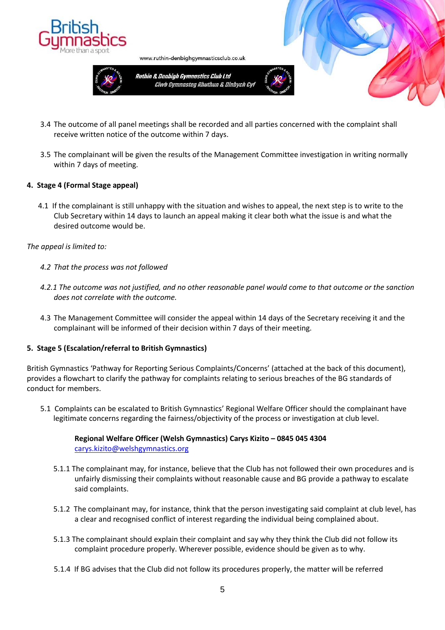

Ruthin & Denbigh Gymnastics Club Ltd Clwb Gymnasteg Rhuthun & Dinbych Cyl

www.ruthin-denbighgymnasticsclub.co.uk





- 3.4 The outcome of all panel meetings shall be recorded and all parties concerned with the complaint shall receive written notice of the outcome within 7 days.
- 3.5 The complainant will be given the results of the Management Committee investigation in writing normally within 7 days of meeting.

# **4. Stage 4 (Formal Stage appeal)**

 4.1 If the complainant is still unhappy with the situation and wishes to appeal, the next step is to write to the Club Secretary within 14 days to launch an appeal making it clear both what the issue is and what the desired outcome would be.

# *The appeal is limited to:*

- *4.2 That the process was not followed*
- *4.2.1 The outcome was not justified, and no other reasonable panel would come to that outcome or the sanction does not correlate with the outcome.*
- 4.3 The Management Committee will consider the appeal within 14 days of the Secretary receiving it and the complainant will be informed of their decision within 7 days of their meeting.

# **5. Stage 5 (Escalation/referral to British Gymnastics)**

British Gymnastics 'Pathway for Reporting Serious Complaints/Concerns' (attached at the back of this document), provides a flowchart to clarify the pathway for complaints relating to serious breaches of the BG standards of conduct for members.

5.1 Complaints can be escalated to British Gymnastics' Regional Welfare Officer should the complainant have legitimate concerns regarding the fairness/objectivity of the process or investigation at club level.

# Regional Welfare Officer (Welsh Gymnastics) Carys Kizito - 0845 045 4304 [carys.kizito@welshgymnastics.org](mailto:carys.kizito@welshgymnastics.org)

- 5.1.1 The complainant may, for instance, believe that the Club has not followed their own procedures and is unfairly dismissing their complaints without reasonable cause and BG provide a pathway to escalate said complaints.
- 5.1.2 The complainant may, for instance, think that the person investigating said complaint at club level, has a clear and recognised conflict of interest regarding the individual being complained about.
- 5.1.3 The complainant should explain their complaint and say why they think the Club did not follow its complaint procedure properly. Wherever possible, evidence should be given as to why.
- 5.1.4 If BG advises that the Club did not follow its procedures properly, the matter will be referred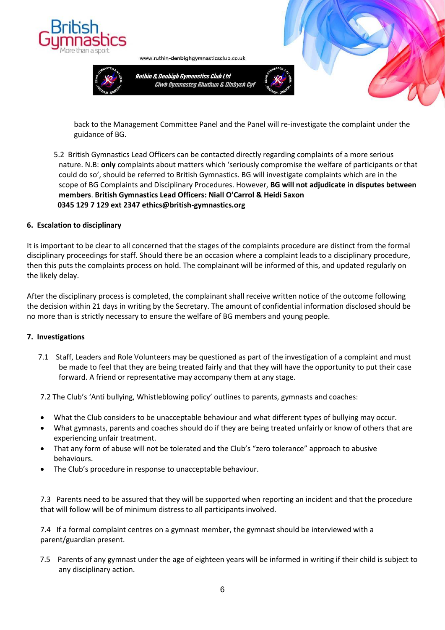



Ruthin & Denbigh Gymnastics Club Ltd Clwb Gymnasteg Rhuthun & Dinbych Cyl

www.ruthin-denbighgymnasticsclub.co.uk



back to the Management Committee Panel and the Panel will re-investigate the complaint under the guidance of BG.

5.2 British Gymnastics Lead Officers can be contacted directly regarding complaints of a more serious nature. N.B: **only** complaints about matters which 'seriously compromise the welfare of participants or that could do so', should be referred to British Gymnastics. BG will investigate complaints which are in the scope of BG Complaints and Disciplinary Procedures. However, **BG will not adjudicate in disputes between members**. **British Gymnastics Lead Officers: Niall O'Carrol & Heidi Saxon 0345 129 7 129 ext 2347 [ethics@british-gymnastics.org](mailto:ethics@british-gymnastics.org)** 

# **6. Escalation to disciplinary**

It is important to be clear to all concerned that the stages of the complaints procedure are distinct from the formal disciplinary proceedings for staff. Should there be an occasion where a complaint leads to a disciplinary procedure, then this puts the complaints process on hold. The complainant will be informed of this, and updated regularly on the likely delay.

After the disciplinary process is completed, the complainant shall receive written notice of the outcome following the decision within 21 days in writing by the Secretary. The amount of confidential information disclosed should be no more than is strictly necessary to ensure the welfare of BG members and young people.

#### **7. Investigations**

 7.1 Staff, Leaders and Role Volunteers may be questioned as part of the investigation of a complaint and must be made to feel that they are being treated fairly and that they will have the opportunity to put their case forward. A friend or representative may accompany them at any stage.

7.2 The Club's 'Anti bullying, Whistleblowing policy' outlines to parents, gymnasts and coaches:

- What the Club considers to be unacceptable behaviour and what different types of bullying may occur.
- What gymnasts, parents and coaches should do if they are being treated unfairly or know of others that are experiencing unfair treatment.
- That any form of abuse will not be tolerated and the Club's "zero tolerance" approach to abusive behaviours.
- The Club's procedure in response to unacceptable behaviour.

7.3 Parents need to be assured that they will be supported when reporting an incident and that the procedure that will follow will be of minimum distress to all participants involved.

7.4 If a formal complaint centres on a gymnast member, the gymnast should be interviewed with a parent/guardian present.

 7.5 Parents of any gymnast under the age of eighteen years will be informed in writing if their child is subject to any disciplinary action.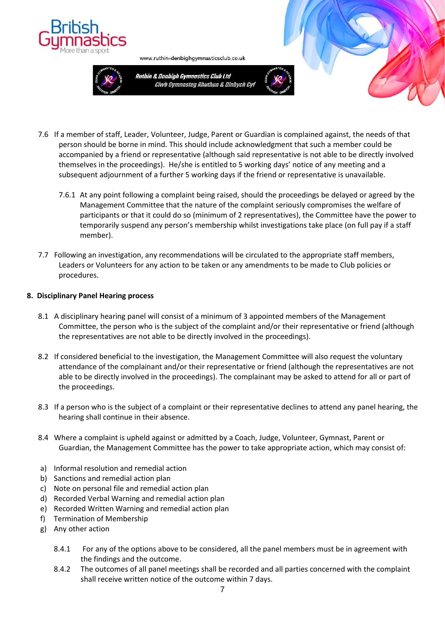







- 7.6.1 At any point following a complaint being raised, should the proceedings be delayed or agreed by the Management Committee that the nature of the complaint seriously compromises the welfare of participants or that it could do so (minimum of 2 representatives), the Committee have the power to temporarily suspend any person's membership whilst investigations take place (on full pay if a staff member).
- 7.7 Following an investigation, any recommendations will be circulated to the appropriate staff members, Leaders or Volunteers for any action to be taken or any amendments to be made to Club policies or procedures.

## **8. Disciplinary Panel Hearing process**

- 8.1 A disciplinary hearing panel will consist of a minimum of 3 appointed members of the Management Committee, the person who is the subject of the complaint and/or their representative or friend (although the representatives are not able to be directly involved in the proceedings).
- 8.2 If considered beneficial to the investigation, the Management Committee will also request the voluntary attendance of the complainant and/or their representative or friend (although the representatives are not able to be directly involved in the proceedings). The complainant may be asked to attend for all or part of the proceedings.
- 8.3 If a person who is the subject of a complaint or their representative declines to attend any panel hearing, the hearing shall continue in their absence.
- 8.4 Where a complaint is upheld against or admitted by a Coach, Judge, Volunteer, Gymnast, Parent or Guardian, the Management Committee has the power to take appropriate action, which may consist of:
- a) Informal resolution and remedial action
- b) Sanctions and remedial action plan
- c) Note on personal file and remedial action plan
- d) Recorded Verbal Warning and remedial action plan
- e) Recorded Written Warning and remedial action plan
- f) Termination of Membership
- g) Any other action
	- 8.4.1 For any of the options above to be considered, all the panel members must be in agreement with the findings and the outcome.
	- 8.4.2 The outcomes of all panel meetings shall be recorded and all parties concerned with the complaint shall receive written notice of the outcome within 7 days.